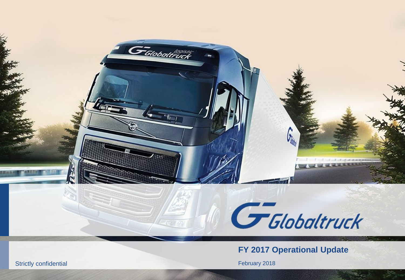

**FY 2017 Operational Update**

February 201 8

Strictly confidential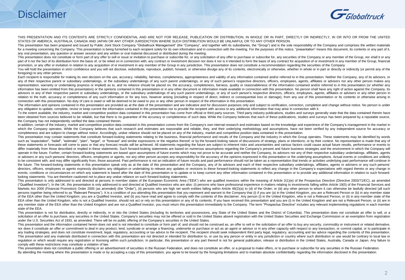## Disclaimer



THIS PRESENTATION AND ITS CONTENTS ARE STRICTLY CONFIDENTIAL AND ARE NOT FOR RELEASE. PUBLICATION OR DISTRIBUTION, IN WHOLE OR IN PART, DIRECTLY OR INDIRECTLY, IN OR INTO OR FROM THE UNITED STATES OF AMERICA, AUSTRALIA, CANADA AND JAPAN OR ANY OTHER JURISDICTION WHERE SUCH DISTRIBUTION WOULD BE UNLAWFUL OR TO ANY OTHER PERSON.

This presentation has been prepared and issued by Public Joint Stock Company "Globaltruck Management" (the "Company", and together with its subsidiaries, the "Group") and is the sole responsibility of the Company and compr for a meeting concerning the Company. This presentation is being furnished to each recipient solely for its own information and in connection with the meeting. For the purposes of this notice, "presentation" means this doc any oral presentation, any question or answer session and any written or oral material discussed or distributed during the meeting.

This presentation does not constitute or form part of any offer to sell or issue or invitation to purchase or subscribe for, or any solicitation of any offer to purchase or subscribe for, any sellight of any offer to purch part of it nor the fact of its distribution form the basis of, or be relied on in connection with, any contract or investment decision nor does it nor is it intended to form the basis of any contract for acquisition of or promotion, or any offer or invitation in relation to any acquisition of or investment in any member of the Group in any iurisdiction. This presentation does not constitute a recommendation regarding the securities of the C

You will hold the presentation in strict confidence and you will not disclose, redistribute, reproduce, publish, forward, or otherwise divulge any of its contents, electronically or otherwise, whether in whole or in part o foregoing) to any other person.

Each recipient is responsible for making its own decision on the use, accuracy, reliability, fairness, completeness, appropriateness and validity of any information contained and/or referred to in this presentation. Neithe any of their respective parent or subsidiary undertakings, or the subsidiary undertakings of any such parent undertakings, or any of such person's respective directors, officers, employees, agents, affiliates or advisers n representation, warranty or undertaking (express or implied) as to, and no reliance should be placed on, the accuracy, completeness, fairness, quality or reasonableness of the information contained and/or referred to in th information has been omitted from this presentation) or the opinions contained in this presentation or in any other document or information made available in connection with this presentation. No person shall have any righ advisors or any of their respective parent or subsidiary undertakings, or the subsidiary undertakings of any such parent undertakings, or any of such person's respective directors, officers, employees, agents, affiliates o relation to the truth, accuracy or completeness of any such information or for any loss, however arising (including in respect of direct, indirect or consequential loss or damage), from any use of this presentation or its connection with this presentation. No duty of care is owed or will be deemed to be owed to you or any other person in respect of the information in this presentation.

The information and opinions contained in this presentation are provided as at the date of the presentation and are indicative and for discussion purposes only and subject to verification, correction, completion and change any obligation to update, complete, revise or keep current the information contained in this presentation nor to provide the recipient with access to any additional information that may arise in connection with it.

To the extent available, the industry, market and competitive position data contained in this presentation has come from official or third party sources. Third party industry publications, studies and surveys generally sta been obtained from sources believed to be reliable, but that there is no guarantee of the accuracy or completeness of such data. While the Company believes that each of these publications, studies and surveys has been prep the Company has not independently verified the data contained therein.

In addition, certain of the industry, market and competitive position data contained in this presentation comes from the Company's own internal research and estimates based on the knowledge and experience of the Company's which the Company operates. While the Company believes that such research and estimates are reasonable and reliable, they, and their underlying methodology and assumptions, have not been verified by any independent source completeness and are subject to change without notice. Accordingly, undue reliance should not be placed on any of the industry, market and competitive position data contained in this presentation.

This presentation may contain statements that constitute forward-looking statements relating to the business, financial performance and results of the Company and the industry in which the Group operates. These statements such as "expectation", "belief", "estimate", "plan", "target", or "forecast" and similar expressions or the negative thereof; or by the forward-looking nature of discussions of strategy, plans or intentions; or by their co these statements or forecasts will come to pass or that any forecast results will be achieved. All statements regarding the future are subject to inherent risks and uncertainties and various factors could cause actual futu differ materially from those described or implied in these statements. Such forward-looking statements are based on numerous assumptions regarding the Company's present and future business strategies and the environment in operate in the future. Further, certain forward-looking statements are based upon assumptions of future events which may not prove to be accurate and neither the Company, its advisors nor any of their respective subsidiary or advisers or any such persons' directors, officers, employees or agents, nor any other person accepts any responsibility for the accuracy of the opinions expressed in this presentation or the underlying assumptions. Actu to be consistent with, and may differ significantly from, those assumed. Past performance is not an indication of future results and past performance should not be taken as a representation that trends or activities underl the future. The forward-looking statements in this presentation speak only as at the date of this presentation and the Company, any of its advisors and each of their respective subsidiary undertakings, affiliates, agents o directors, officers, employees or agents expressly disclaims any obligation or undertaking to release any updates or revisions to these forward-looking statements to reflect any change in the Company's expectations with re events, conditions or circumstances on which any statement is based after the date of this presentation or to update or to keep current any other information contained in this presentation or to provide any additional info looking statements. You are therefore cautioned not to place any undue reliance on such forward-looking statements.

This presentation is only addressed to and directed at persons in member states of the European Economic Area ("EEA") who are qualified investors within the meaning of Article 2(1)(e) of the Prospectus Directive (Directive ("Qualified Investors"). In the UK, this presentation is only addressed to and directed at Qualified Investors who are also: (i) persons who have professional experience in matters relating to investments falling within Ar Markets Act 2000 (Financial Promotion) Order 2005 (as amended) (the "Order"), (ii) persons who are high net worth entities falling within Article 49(2)(a) to (d) of the Order; or (iii) any other person to whom it can other persons together being referred to as "Relevant Persons"). It is a condition of you attending this presentation that you represent and warrant to the Company that (i) if you are (a) in the United Kingdom, you are a Relevan of the EEA other than the United Kingdom, you are a Qualified Investor, and (ii) you have read and agree to comply with the contents of this disclaimer. Any person (i) in the United Kingdom, who is not a Relevant Person, o EEA other than the United Kingdom, who is not a Qualified Investor, should not act or rely on this presentation or any of its contents. If you have received this presentation and you are (i) in the United Kingdom and are n any member state of the EEA other than the United Kingdom and are not a Qualified Investor, you must return this presentation immediately to the Company. The term "Prospectus Directive" includes any relevant implementing r state of the EEA.

This presentation is not for distribution, directly or indirectly, in or into the United States (including its territories and possessions, any State of the United States and the District of Columbia). This presentation do solicitation of an offer to purchase, any securities in the United States. Company's securities may not be offered or sold in the United States absent registration with the United States Securities and Exchange Commission under the U.S. Securities Act of 1933, as amended. There will be no public offering of the Company"s securities in the United States.

This presentation and the information contained herein does not and is not intended to constitute or form part of, and should not be construed as, an offer to sell or the solicitation of an offer to buy any security, commo nor does it constitute an offer or commitment to deal in any product, lend, syndicate or arrange a financing, underwrite or purchase or act as an agent or advisor or in any other capacity with respect to any transaction, o any trading strategies, and does not constitute investment, legal, regulatory, accounting or tax advice to the recipient. The recipient should seek independent third party legal, regulatory, accounting and tax advice regar This presentation and any materials distributed in connection with this presentation are not directed or intended for distribution to, or use by any person or entity in any jurisdiction or country where such distribution o requlation or which would require any registration or licensing within such jurisdiction. In particular, this presentation or any part thereof is not for general publication, release or distribution in the United States, A comply with these restrictions may constitute a violation of law.

This presentation does not constitute a public offering or an advertisement of securities in the Russian Federation, and does not constitute an offer, or a proposal to make offers, or to purchase or subscribe for any secur By attending the meeting where this presentation is made or by accepting a copy of this presentation, you agree to be bound by the foregoing limitations and to maintain absolute confidentiality regarding the information di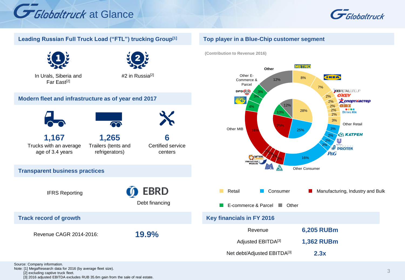







In Urals, Siberia and Far East<sup>[2]</sup>



#2 in Russia<sup>[2]</sup>

### **Modern fleet and infrastructure as of year end 2017**



**Track record of growth**



**1,167** Trucks with an average age of 3.4 years

IFRS Reporting

Revenue CAGR 2014-2016:

**Transparent business practices**

**1,265** Trailers (tents and refrigerators)

**6**  Certified service centers

Debt financing

**EBRD** 

**19.9%** 

### **Top player in a Blue-Chip customer segment**

**(Contribution to Revenue 2016)**



Source: Company information. Note: [1] MegaResearch data for 2016 (by average fleet size). [2] excluding captive truck fleet. [3] 2016 adjusted EBITDA excludes RUB 35.6m gain from the sale of real estate.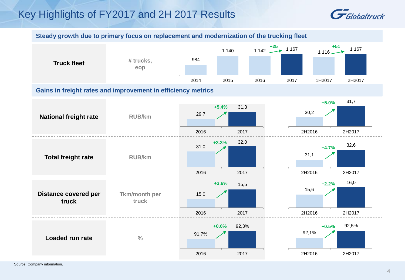# Key Highlights of FY2017 and 2H 2017 Results



**Steady growth due to primary focus on replacement and modernization of the trucking fleet**

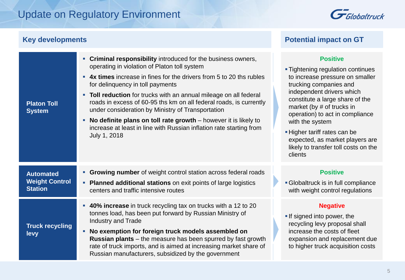# Update on Regulatory Environment

| <b>Key developments</b>                                     |                                                                                                                                                                                                                                                                                                                                                                                                                                                                                                                                                                                       | <b>Potential impact on GT</b>                                                                                                                                                                                                                                                                                                                                                                   |
|-------------------------------------------------------------|---------------------------------------------------------------------------------------------------------------------------------------------------------------------------------------------------------------------------------------------------------------------------------------------------------------------------------------------------------------------------------------------------------------------------------------------------------------------------------------------------------------------------------------------------------------------------------------|-------------------------------------------------------------------------------------------------------------------------------------------------------------------------------------------------------------------------------------------------------------------------------------------------------------------------------------------------------------------------------------------------|
| <b>Platon Toll</b><br><b>System</b>                         | • Criminal responsibility introduced for the business owners,<br>operating in violation of Platon toll system<br>• 4x times increase in fines for the drivers from 5 to 20 ths rubles<br>for delinquency in toll payments<br>• Toll reduction for trucks with an annual mileage on all federal<br>roads in excess of 60-95 ths km on all federal roads, is currently<br>under consideration by Ministry of Transportation<br>No definite plans on toll rate growth $-$ however it is likely to<br>increase at least in line with Russian inflation rate starting from<br>July 1, 2018 | <b>Positive</b><br><b>Tightening regulation continues</b><br>to increase pressure on smaller<br>trucking companies and<br>independent drivers which<br>constitute a large share of the<br>market (by # of trucks in<br>operation) to act in compliance<br>with the system<br>- Higher tariff rates can be<br>expected, as market players are<br>likely to transfer toll costs on the<br>clients |
| <b>Automated</b><br><b>Weight Control</b><br><b>Station</b> | Growing number of weight control station across federal roads<br>$\blacksquare$<br>• Planned additional stations on exit points of large logistics<br>centers and traffic intensive routes                                                                                                                                                                                                                                                                                                                                                                                            | <b>Positive</b><br><b>- Globaltruck is in full compliance</b><br>with weight control regulations                                                                                                                                                                                                                                                                                                |
| <b>Truck recycling</b><br>levy                              | • 40% increase in truck recycling tax on trucks with a 12 to 20<br>tonnes load, has been put forward by Russian Ministry of<br><b>Industry and Trade</b><br>No exemption for foreign truck models assembled on<br>$\mathbf{r}$<br>Russian plants - the measure has been spurred by fast growth<br>rate of truck imports, and is aimed at increasing market share of<br>Russian manufacturers, subsidized by the government                                                                                                                                                            | <b>Negative</b><br>If signed into power, the<br>recycling levy proposal shall<br>increase the costs of fleet<br>expansion and replacement due<br>to higher truck acquisition costs                                                                                                                                                                                                              |

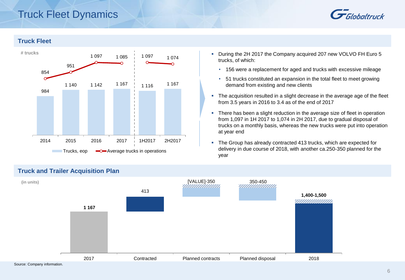# Truck Fleet Dynamics



### **Truck Fleet**



- During the 2H 2017 the Company acquired 207 new VOLVO FH Euro 5 trucks, of which:
	- 156 were a replacement for aged and trucks with excessive mileage
	- 51 trucks constituted an expansion in the total fleet to meet growing demand from existing and new clients
- The acquisition resulted in a slight decrease in the average age of the fleet from 3.5 years in 2016 to 3.4 as of the end of 2017
- There has been a slight reduction in the average size of fleet in operation from 1,097 in 1H 2017 to 1,074 in 2H 2017, due to gradual disposal of trucks on a monthly basis, whereas the new trucks were put into operation at year end
- The Group has already contracted 413 trucks, which are expected for delivery in due course of 2018, with another ca.250-350 planned for the year



### **Truck and Trailer Acquisition Plan**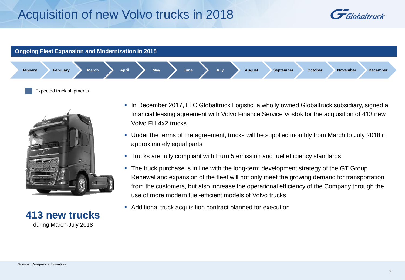# Acquisition of new Volvo trucks in 2018





Expected truck shipments



**413 new trucks** during March-July 2018

- In December 2017, LLC Globaltruck Logistic, a wholly owned Globaltruck subsidiary, signed a financial leasing agreement with Volvo Finance Service Vostok for the acquisition of 413 new Volvo FH 4x2 trucks
- Under the terms of the agreement, trucks will be supplied monthly from March to July 2018 in approximately equal parts
- Trucks are fully compliant with Euro 5 emission and fuel efficiency standards
- The truck purchase is in line with the long-term development strategy of the GT Group. Renewal and expansion of the fleet will not only meet the growing demand for transportation from the customers, but also increase the operational efficiency of the Company through the use of more modern fuel-efficient models of Volvo trucks
- Additional truck acquisition contract planned for execution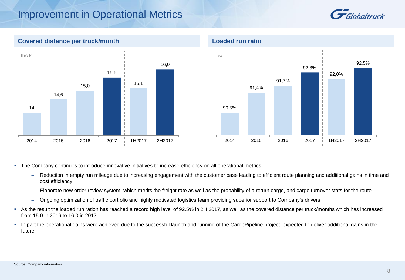# Improvement in Operational Metrics





The Company continues to introduce innovative initiatives to increase efficiency on all operational metrics:

- ̶ Reduction in empty run mileage due to increasing engagement with the customer base leading to efficient route planning and additional gains in time and cost efficiency
- ̶ Elaborate new order review system, which merits the freight rate as well as the probability of a return cargo, and cargo turnover stats for the route
- ̶ Ongoing optimization of traffic portfolio and highly motivated logistics team providing superior support to Company"s drivers
- As the result the loaded run ration has reached a record high level of 92.5% in 2H 2017, as well as the covered distance per truck/months which has increased from 15.0 in 2016 to 16.0 in 2017
- In part the operational gains were achieved due to the successful launch and running of the CargoPipeline project, expected to deliver additional gains in the future